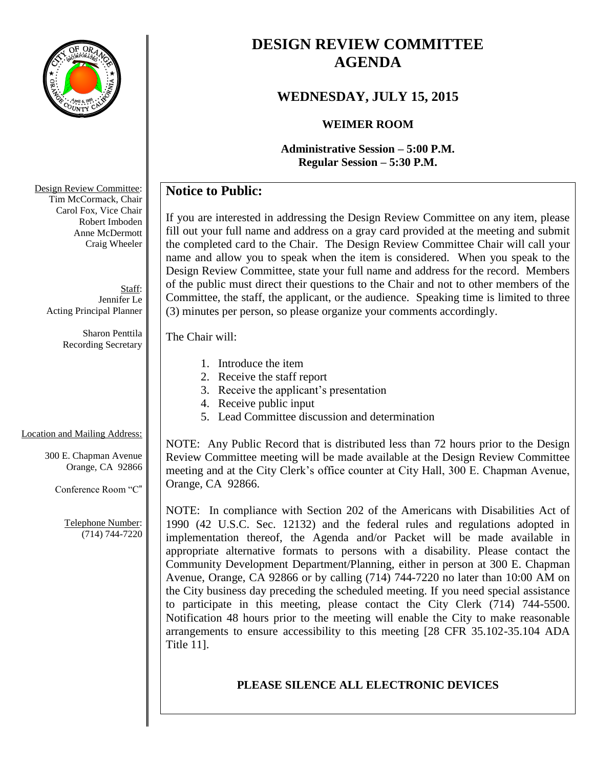

# **DESIGN REVIEW COMMITTEE AGENDA**

# **WEDNESDAY, JULY 15, 2015**

### **WEIMER ROOM**

**Administrative Session – 5:00 P.M. Regular Session – 5:30 P.M.**

# **Notice to Public:**

If you are interested in addressing the Design Review Committee on any item, please fill out your full name and address on a gray card provided at the meeting and submit the completed card to the Chair. The Design Review Committee Chair will call your name and allow you to speak when the item is considered. When you speak to the Design Review Committee, state your full name and address for the record. Members of the public must direct their questions to the Chair and not to other members of the Committee, the staff, the applicant, or the audience. Speaking time is limited to three (3) minutes per person, so please organize your comments accordingly.

#### The Chair will:

- 1. Introduce the item
- 2. Receive the staff report
- 3. Receive the applicant's presentation
- 4. Receive public input
- 5. Lead Committee discussion and determination

# Location and Mailing Address:

300 E. Chapman Avenue Orange, CA 92866

Conference Room "C"

Telephone Number: (714) 744-7220 NOTE: Any Public Record that is distributed less than 72 hours prior to the Design Review Committee meeting will be made available at the Design Review Committee meeting and at the City Clerk's office counter at City Hall, 300 E. Chapman Avenue, Orange, CA 92866.

NOTE: In compliance with Section 202 of the Americans with Disabilities Act of 1990 (42 U.S.C. Sec. 12132) and the federal rules and regulations adopted in implementation thereof, the Agenda and/or Packet will be made available in appropriate alternative formats to persons with a disability. Please contact the Community Development Department/Planning, either in person at 300 E. Chapman Avenue, Orange, CA 92866 or by calling (714) 744-7220 no later than 10:00 AM on the City business day preceding the scheduled meeting. If you need special assistance to participate in this meeting, please contact the City Clerk (714) 744-5500. Notification 48 hours prior to the meeting will enable the City to make reasonable arrangements to ensure accessibility to this meeting [28 CFR 35.102-35.104 ADA Title 11].

# **PLEASE SILENCE ALL ELECTRONIC DEVICES**

Design Review Committee: Tim McCormack, Chair Carol Fox, Vice Chair Robert Imboden Anne McDermott Craig Wheeler

> Staff: Jennifer Le Acting Principal Planner

> > Sharon Penttila Recording Secretary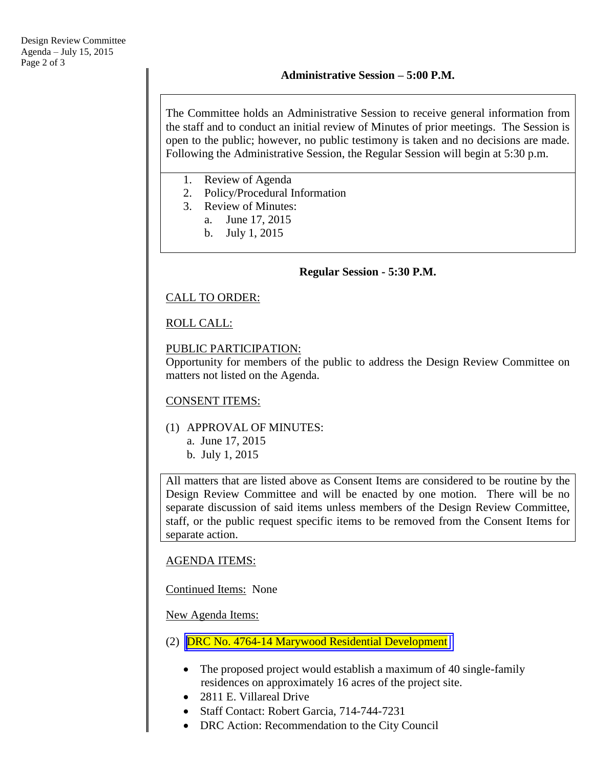The Committee holds an Administrative Session to receive general information from the staff and to conduct an initial review of Minutes of prior meetings. The Session is open to the public; however, no public testimony is taken and no decisions are made. Following the Administrative Session, the Regular Session will begin at 5:30 p.m.

- 1. Review of Agenda
- 2. Policy/Procedural Information
- 3. Review of Minutes:
	- a. June 17, 2015
	- b. July 1, 2015

#### **Regular Session - 5:30 P.M.**

### CALL TO ORDER:

### ROLL CALL:

### PUBLIC PARTICIPATION:

Opportunity for members of the public to address the Design Review Committee on matters not listed on the Agenda.

### CONSENT ITEMS:

- (1) APPROVAL OF MINUTES:
	- a. June 17, 2015
	- b. July 1, 2015

All matters that are listed above as Consent Items are considered to be routine by the Design Review Committee and will be enacted by one motion. There will be no separate discussion of said items unless members of the Design Review Committee, staff, or the public request specific items to be removed from the Consent Items for separate action.

### AGENDA ITEMS:

Continued Items: None

New Agenda Items:

- (2) DRC No. [4764-14 Marywood Residential Development](http://www.cityoforange.org/civicax/filebank/blobdload.aspx?BlobID=15229)
	- The proposed project would establish a maximum of 40 single-family residences on approximately 16 acres of the project site.
	- 2811 E. Villareal Drive
	- Staff Contact: Robert Garcia, 714-744-7231
	- DRC Action: Recommendation to the City Council